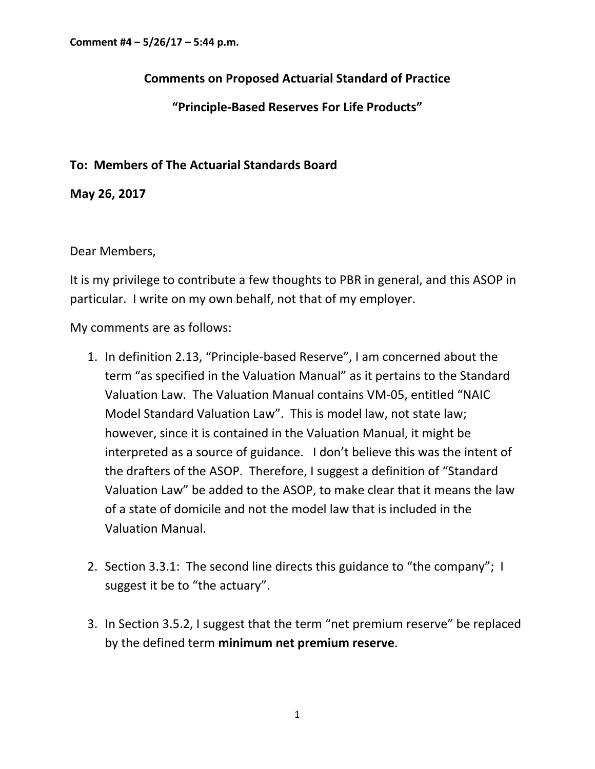## **Comments on Proposed Actuarial Standard of Practice**

## **"Principle‐Based Reserves For Life Products"**

## **To: Members of The Actuarial Standards Board**

**May 26, 2017**

## Dear Members,

It is my privilege to contribute a few thoughts to PBR in general, and this ASOP in particular. I write on my own behalf, not that of my employer.

My comments are as follows:

- 1. In definition 2.13, "Principle‐based Reserve", I am concerned about the term "as specified in the Valuation Manual" as it pertains to the Standard Valuation Law. The Valuation Manual contains VM‐05, entitled "NAIC Model Standard Valuation Law". This is model law, not state law; however, since it is contained in the Valuation Manual, it might be interpreted as a source of guidance. I don't believe this was the intent of the drafters of the ASOP. Therefore, I suggest a definition of "Standard Valuation Law" be added to the ASOP, to make clear that it means the law of a state of domicile and not the model law that is included in the Valuation Manual.
- 2. Section 3.3.1: The second line directs this guidance to "the company"; I suggest it be to "the actuary".
- 3. In Section 3.5.2, I suggest that the term "net premium reserve" be replaced by the defined term **minimum net premium reserve**.